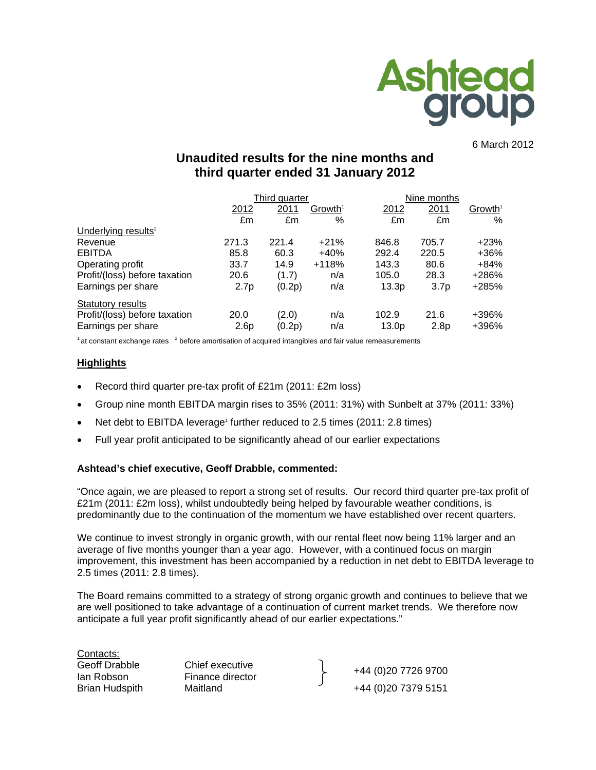

6 March 2012

# **Unaudited results for the nine months and third quarter ended 31 January 2012**

|                                 |                  | Third quarter |                     |                   | Nine months      |                     |  |
|---------------------------------|------------------|---------------|---------------------|-------------------|------------------|---------------------|--|
|                                 | 2012             | 2011          | Growth <sup>1</sup> | 2012              | 2011             | Growth <sup>1</sup> |  |
|                                 | £m               | £m            | %                   | £m                | £m               | $\%$                |  |
| Underlying results <sup>2</sup> |                  |               |                     |                   |                  |                     |  |
| Revenue                         | 271.3            | 221.4         | $+21%$              | 846.8             | 705.7            | +23%                |  |
| <b>EBITDA</b>                   | 85.8             | 60.3          | $+40%$              | 292.4             | 220.5            | +36%                |  |
| Operating profit                | 33.7             | 14.9          | $+118%$             | 143.3             | 80.6             | +84%                |  |
| Profit/(loss) before taxation   | 20.6             | (1.7)         | n/a                 | 105.0             | 28.3             | +286%               |  |
| Earnings per share              | 2.7 <sub>p</sub> | (0.2p)        | n/a                 | 13.3p             | 3.7 <sub>p</sub> | +285%               |  |
| Statutory results               |                  |               |                     |                   |                  |                     |  |
| Profit/(loss) before taxation   | 20.0             | (2.0)         | n/a                 | 102.9             | 21.6             | +396%               |  |
| Earnings per share              | 2.6 <sub>p</sub> | (0.2p)        | n/a                 | 13.0 <sub>p</sub> | 2.8 <sub>p</sub> | +396%               |  |

 $1$  at constant exchange rates  $2$  before amortisation of acquired intangibles and fair value remeasurements

### **Highlights**

- Record third quarter pre-tax profit of £21m (2011: £2m loss)
- Group nine month EBITDA margin rises to 35% (2011: 31%) with Sunbelt at 37% (2011: 33%)
- Net debt to EBITDA leverage<sup>1</sup> further reduced to 2.5 times (2011: 2.8 times)
- Full year profit anticipated to be significantly ahead of our earlier expectations

# **Ashtead's chief executive, Geoff Drabble, commented:**

"Once again, we are pleased to report a strong set of results. Our record third quarter pre-tax profit of £21m (2011: £2m loss), whilst undoubtedly being helped by favourable weather conditions, is predominantly due to the continuation of the momentum we have established over recent quarters.

We continue to invest strongly in organic growth, with our rental fleet now being 11% larger and an average of five months younger than a year ago. However, with a continued focus on margin improvement, this investment has been accompanied by a reduction in net debt to EBITDA leverage to 2.5 times (2011: 2.8 times).

The Board remains committed to a strategy of strong organic growth and continues to believe that we are well positioned to take advantage of a continuation of current market trends. We therefore now anticipate a full year profit significantly ahead of our earlier expectations."

Contacts:



Geoff Drabble Chief executive <br>
Ian Robson Finance director +44 (0)20 7726 9700 Brian Hudspith Maitland  $+44 (0)20 7379 5151$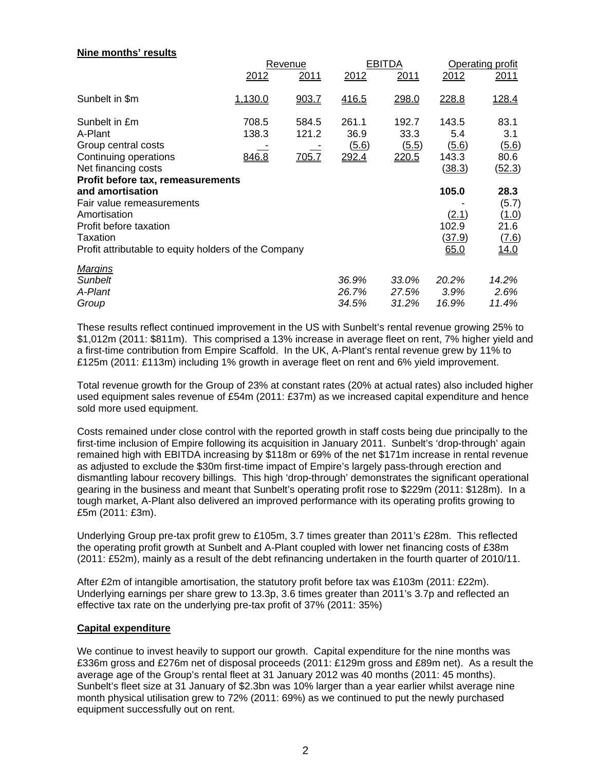| NILLE INDITION TESUITS                                                                     | 2012           | Revenue<br>2011 | 2012                    | <b>EBITDA</b><br>2011   | 2012                            | <b>Operating profit</b><br>2011     |
|--------------------------------------------------------------------------------------------|----------------|-----------------|-------------------------|-------------------------|---------------------------------|-------------------------------------|
| Sunbelt in \$m                                                                             | 1.130.0        | 903.7           | 416.5                   | 298.0                   | 228.8                           | 128.4                               |
| Sunbelt in £m<br>A-Plant                                                                   | 708.5<br>138.3 | 584.5<br>121.2  | 261.1<br>36.9           | 192.7<br>33.3           | 143.5<br>5.4                    | 83.1<br>3.1                         |
| Group central costs<br>Continuing operations<br>Net financing costs                        | 846.8          | 705.7           | (5.6)<br>292.4          | (5.5)<br>220.5          | <u>(5.6)</u><br>143.3<br>(38.3) | (5.6)<br>80.6<br>(52.3)             |
| Profit before tax, remeasurements<br>and amortisation                                      |                |                 |                         |                         | 105.0                           | 28.3                                |
| Fair value remeasurements<br>Amortisation                                                  |                |                 |                         |                         | (2.1)                           | (5.7)<br>(1.0)                      |
| Profit before taxation<br>Taxation<br>Profit attributable to equity holders of the Company |                |                 |                         |                         | 102.9<br><u>(37.9)</u><br>65.0  | 21.6<br><u>(7.6)</u><br><u>14.0</u> |
| <b>Margins</b>                                                                             |                |                 |                         |                         |                                 |                                     |
| <b>Sunbelt</b><br>A-Plant<br>Group                                                         |                |                 | 36.9%<br>26.7%<br>34.5% | 33.0%<br>27.5%<br>31.2% | 20.2%<br>3.9%<br>16.9%          | 14.2%<br>2.6%<br>11.4%              |
|                                                                                            |                |                 |                         |                         |                                 |                                     |

These results reflect continued improvement in the US with Sunbelt's rental revenue growing 25% to \$1,012m (2011: \$811m). This comprised a 13% increase in average fleet on rent, 7% higher yield and a first-time contribution from Empire Scaffold. In the UK, A-Plant's rental revenue grew by 11% to £125m (2011: £113m) including 1% growth in average fleet on rent and 6% yield improvement.

Total revenue growth for the Group of 23% at constant rates (20% at actual rates) also included higher used equipment sales revenue of £54m (2011: £37m) as we increased capital expenditure and hence sold more used equipment.

Costs remained under close control with the reported growth in staff costs being due principally to the first-time inclusion of Empire following its acquisition in January 2011. Sunbelt's 'drop-through' again remained high with EBITDA increasing by \$118m or 69% of the net \$171m increase in rental revenue as adjusted to exclude the \$30m first-time impact of Empire's largely pass-through erection and dismantling labour recovery billings. This high 'drop-through' demonstrates the significant operational gearing in the business and meant that Sunbelt's operating profit rose to \$229m (2011: \$128m). In a tough market, A-Plant also delivered an improved performance with its operating profits growing to £5m (2011: £3m).

Underlying Group pre-tax profit grew to £105m, 3.7 times greater than 2011's £28m. This reflected the operating profit growth at Sunbelt and A-Plant coupled with lower net financing costs of £38m (2011: £52m), mainly as a result of the debt refinancing undertaken in the fourth quarter of 2010/11.

After £2m of intangible amortisation, the statutory profit before tax was £103m (2011: £22m). Underlying earnings per share grew to 13.3p, 3.6 times greater than 2011's 3.7p and reflected an effective tax rate on the underlying pre-tax profit of 37% (2011: 35%)

# **Capital expenditure**

**Nine months' results** 

We continue to invest heavily to support our growth. Capital expenditure for the nine months was £336m gross and £276m net of disposal proceeds (2011: £129m gross and £89m net). As a result the average age of the Group's rental fleet at 31 January 2012 was 40 months (2011: 45 months). Sunbelt's fleet size at 31 January of \$2.3bn was 10% larger than a year earlier whilst average nine month physical utilisation grew to 72% (2011: 69%) as we continued to put the newly purchased equipment successfully out on rent.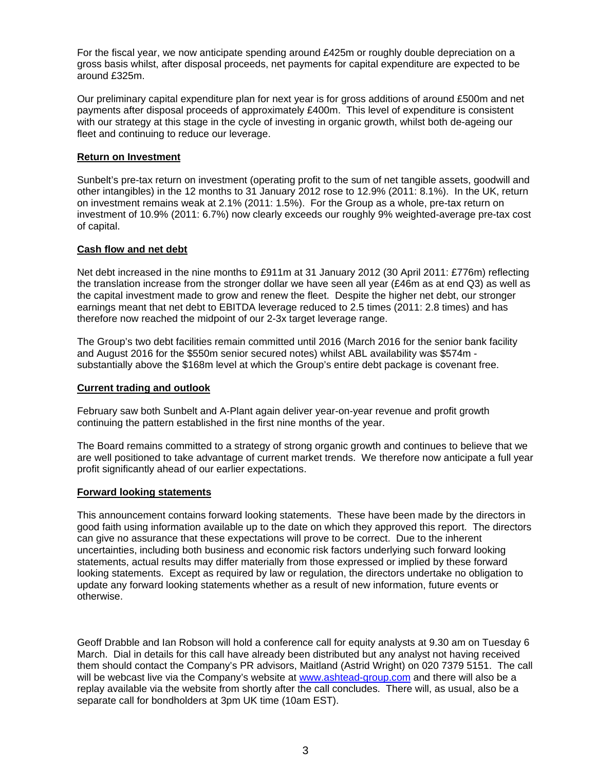For the fiscal year, we now anticipate spending around £425m or roughly double depreciation on a gross basis whilst, after disposal proceeds, net payments for capital expenditure are expected to be around £325m.

Our preliminary capital expenditure plan for next year is for gross additions of around £500m and net payments after disposal proceeds of approximately £400m. This level of expenditure is consistent with our strategy at this stage in the cycle of investing in organic growth, whilst both de-ageing our fleet and continuing to reduce our leverage.

## **Return on Investment**

Sunbelt's pre-tax return on investment (operating profit to the sum of net tangible assets, goodwill and other intangibles) in the 12 months to 31 January 2012 rose to 12.9% (2011: 8.1%). In the UK, return on investment remains weak at 2.1% (2011: 1.5%). For the Group as a whole, pre-tax return on investment of 10.9% (2011: 6.7%) now clearly exceeds our roughly 9% weighted-average pre-tax cost of capital.

### **Cash flow and net debt**

Net debt increased in the nine months to £911m at 31 January 2012 (30 April 2011: £776m) reflecting the translation increase from the stronger dollar we have seen all year (£46m as at end Q3) as well as the capital investment made to grow and renew the fleet. Despite the higher net debt, our stronger earnings meant that net debt to EBITDA leverage reduced to 2.5 times (2011: 2.8 times) and has therefore now reached the midpoint of our 2-3x target leverage range.

The Group's two debt facilities remain committed until 2016 (March 2016 for the senior bank facility and August 2016 for the \$550m senior secured notes) whilst ABL availability was \$574m substantially above the \$168m level at which the Group's entire debt package is covenant free.

#### **Current trading and outlook**

February saw both Sunbelt and A-Plant again deliver year-on-year revenue and profit growth continuing the pattern established in the first nine months of the year.

The Board remains committed to a strategy of strong organic growth and continues to believe that we are well positioned to take advantage of current market trends. We therefore now anticipate a full year profit significantly ahead of our earlier expectations.

#### **Forward looking statements**

This announcement contains forward looking statements. These have been made by the directors in good faith using information available up to the date on which they approved this report. The directors can give no assurance that these expectations will prove to be correct. Due to the inherent uncertainties, including both business and economic risk factors underlying such forward looking statements, actual results may differ materially from those expressed or implied by these forward looking statements. Except as required by law or regulation, the directors undertake no obligation to update any forward looking statements whether as a result of new information, future events or otherwise.

Geoff Drabble and Ian Robson will hold a conference call for equity analysts at 9.30 am on Tuesday 6 March. Dial in details for this call have already been distributed but any analyst not having received them should contact the Company's PR advisors, Maitland (Astrid Wright) on 020 7379 5151. The call will be webcast live via the Company's website at www.ashtead-group.com and there will also be a replay available via the website from shortly after the call concludes. There will, as usual, also be a separate call for bondholders at 3pm UK time (10am EST).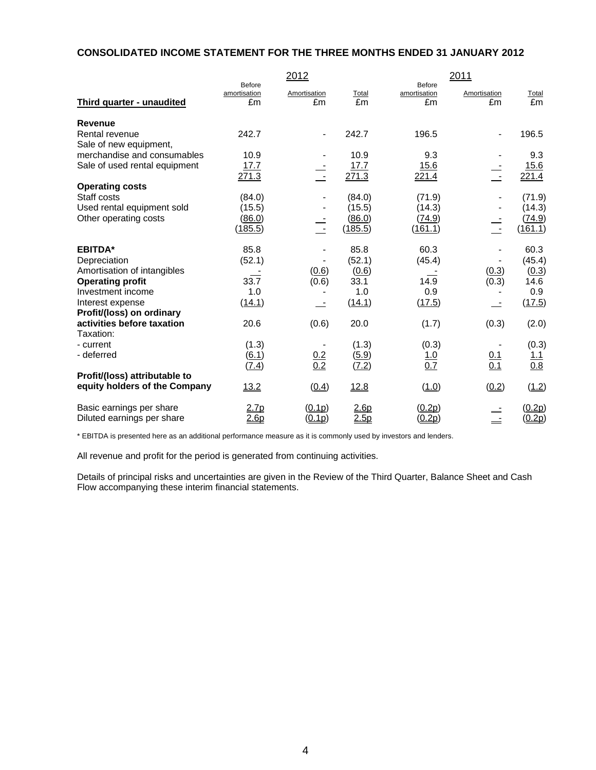### **CONSOLIDATED INCOME STATEMENT FOR THE THREE MONTHS ENDED 31 JANUARY 2012**

|                                          | Before             | 2012                     |             | Before             | 2011                     |                   |
|------------------------------------------|--------------------|--------------------------|-------------|--------------------|--------------------------|-------------------|
| Third quarter - unaudited                | amortisation<br>£m | Amortisation<br>£m       | Total<br>£m | amortisation<br>£m | Amortisation<br>£m       | Total<br>£m       |
| <b>Revenue</b>                           |                    |                          |             |                    |                          |                   |
| Rental revenue<br>Sale of new equipment, | 242.7              | $\overline{\phantom{a}}$ | 242.7       | 196.5              | $\overline{\phantom{a}}$ | 196.5             |
| merchandise and consumables              | 10.9               |                          | 10.9        | 9.3                |                          | 9.3               |
| Sale of used rental equipment            | 17.7               |                          | 17.7        | 15.6               |                          | 15.6              |
|                                          | 271.3              | $\sim$                   | 271.3       | 221.4              | $\sim$                   | 221.4             |
| <b>Operating costs</b>                   |                    |                          |             |                    |                          |                   |
| Staff costs                              | (84.0)             |                          | (84.0)      | (71.9)             |                          | (71.9)            |
| Used rental equipment sold               | (15.5)             |                          | (15.5)      | (14.3)             |                          | (14.3)            |
| Other operating costs                    | (86.0)             |                          | (86.0)      | (74.9)             |                          | (74.9)            |
|                                          | (185.5)            | $\sim$                   | (185.5)     | (161.1)            | $\sim$ $-$               | (161.1)           |
| <b>EBITDA*</b>                           | 85.8               |                          | 85.8        | 60.3               |                          | 60.3              |
| Depreciation                             | (52.1)             |                          | (52.1)      | (45.4)             |                          | (45.4)            |
| Amortisation of intangibles              |                    | (0.6)                    | (0.6)       |                    | (0.3)                    | (0.3)             |
| <b>Operating profit</b>                  | 33.7               | (0.6)                    | 33.1        | 14.9               | $\overline{(0.3)}$       | 14.6              |
| Investment income                        | 1.0                |                          | 1.0         | 0.9                |                          | 0.9               |
| Interest expense                         | (14.1)             |                          | (14.1)      | (17.5)             |                          | (17.5)            |
| Profit/(loss) on ordinary                |                    |                          |             |                    |                          |                   |
| activities before taxation               | 20.6               | (0.6)                    | 20.0        | (1.7)              | (0.3)                    | (2.0)             |
| Taxation:                                |                    |                          |             |                    |                          |                   |
| - current                                | (1.3)              |                          | (1.3)       | (0.3)              |                          | (0.3)             |
| - deferred                               | (6.1)              | $\frac{0.2}{0.2}$        | (5.9)       | $\frac{1.0}{0.7}$  | $\frac{0.1}{0.1}$        | $\frac{1.1}{0.8}$ |
|                                          | (7.4)              |                          | (7.2)       |                    |                          |                   |
| Profit/(loss) attributable to            |                    |                          |             |                    |                          |                   |
| equity holders of the Company            | 13.2               | (0.4)                    | 12.8        | (1.0)              | (0.2)                    | (1.2)             |
| Basic earnings per share                 | 2.7p               | (0.1p)                   | 2.6p        | (0.2p)             |                          | <u>(0.2p)</u>     |
| Diluted earnings per share               | 2.6p               | (0.1p)                   | 2.5p        | (0.2p)             |                          | (0.2p)            |

\* EBITDA is presented here as an additional performance measure as it is commonly used by investors and lenders.

All revenue and profit for the period is generated from continuing activities.

Details of principal risks and uncertainties are given in the Review of the Third Quarter, Balance Sheet and Cash Flow accompanying these interim financial statements.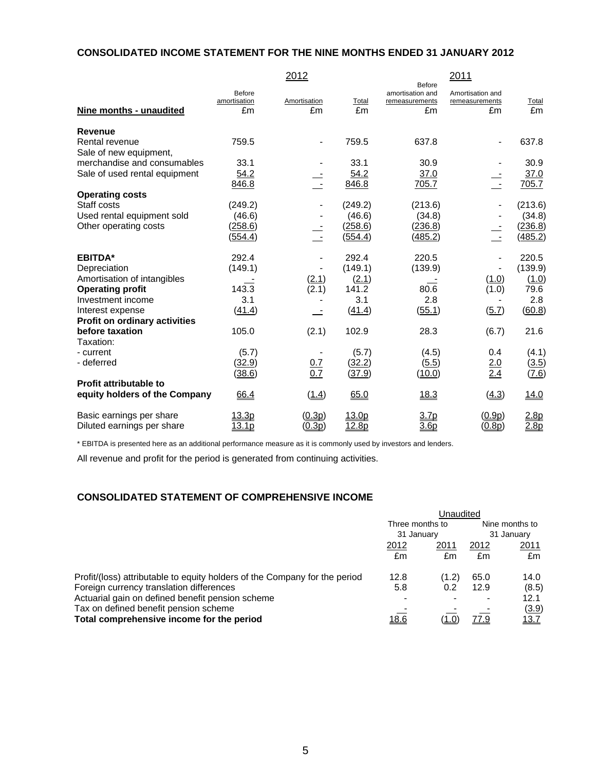# **CONSOLIDATED INCOME STATEMENT FOR THE NINE MONTHS ENDED 31 JANUARY 2012**

|                               |                              | 2012               |             |                                                           | 2011                                     |             |
|-------------------------------|------------------------------|--------------------|-------------|-----------------------------------------------------------|------------------------------------------|-------------|
| Nine months - unaudited       | Before<br>amortisation<br>£m | Amortisation<br>£m | Total<br>£m | <b>Before</b><br>amortisation and<br>remeasurements<br>£m | Amortisation and<br>remeasurements<br>£m | Total<br>£m |
| <b>Revenue</b>                |                              |                    |             |                                                           |                                          |             |
| Rental revenue                | 759.5                        |                    | 759.5       | 637.8                                                     | $\blacksquare$                           | 637.8       |
| Sale of new equipment,        |                              |                    |             |                                                           |                                          |             |
| merchandise and consumables   | 33.1                         |                    | 33.1        | 30.9                                                      |                                          | 30.9        |
| Sale of used rental equipment | 54.2                         |                    | 54.2        | 37.0                                                      |                                          | 37.0        |
|                               | 846.8                        | $\sim$             | 846.8       | 705.7                                                     | $\pm$ -                                  | 705.7       |
| <b>Operating costs</b>        |                              |                    |             |                                                           |                                          |             |
| Staff costs                   | (249.2)                      |                    | (249.2)     | (213.6)                                                   |                                          | (213.6)     |
| Used rental equipment sold    | (46.6)                       |                    | (46.6)      | (34.8)                                                    |                                          | (34.8)      |
| Other operating costs         | (258.6)                      |                    | (258.6)     | (236.8)                                                   |                                          | (236.8)     |
|                               | (554.4)                      | $\sim$ $-$         | (554.4)     | (485.2)                                                   | $\sim$                                   | (485.2)     |
| <b>EBITDA*</b>                | 292.4                        |                    | 292.4       | 220.5                                                     |                                          | 220.5       |
| Depreciation                  | (149.1)                      |                    | (149.1)     | (139.9)                                                   |                                          | (139.9)     |
| Amortisation of intangibles   |                              | (2.1)              | (2.1)       |                                                           | (1.0)                                    | (1.0)       |
| <b>Operating profit</b>       | 143.3                        | (2.1)              | 141.2       | 80.6                                                      | (1.0)                                    | 79.6        |
| Investment income             | 3.1                          |                    | 3.1         | 2.8                                                       |                                          | 2.8         |
| Interest expense              | (41.4)                       |                    | (41.4)      | (55.1)                                                    | (5.7)                                    | (60.8)      |
| Profit on ordinary activities |                              |                    |             |                                                           |                                          |             |
| before taxation               | 105.0                        | (2.1)              | 102.9       | 28.3                                                      | (6.7)                                    | 21.6        |
| Taxation:                     |                              |                    |             |                                                           |                                          |             |
| - current                     | (5.7)                        |                    | (5.7)       | (4.5)                                                     | 0.4                                      | (4.1)       |
| - deferred                    | (32.9)                       | $\frac{0.7}{0.7}$  | (32.2)      | (5.5)                                                     | $\frac{2.0}{2.4}$                        | (3.5)       |
|                               | (38.6)                       |                    | (37.9)      | (10.0)                                                    |                                          | (7.6)       |
| <b>Profit attributable to</b> |                              |                    |             |                                                           |                                          |             |
| equity holders of the Company | 66.4                         | (1.4)              | 65.0        | 18.3                                                      | (4.3)                                    | 14.0        |
| Basic earnings per share      | 13.3p                        | (0.3p)             | 13.0p       | 3.7p                                                      | (0.9p)                                   | 2.8p        |
| Diluted earnings per share    | 13.1p                        | (0.3p)             | 12.8p       | 3.6 <sub>p</sub>                                          | (0.8p)                                   | 2.8p        |

\* EBITDA is presented here as an additional performance measure as it is commonly used by investors and lenders.

All revenue and profit for the period is generated from continuing activities.

# **CONSOLIDATED STATEMENT OF COMPREHENSIVE INCOME**

|                                                                            | Jnaudited                     |       |      |                              |  |
|----------------------------------------------------------------------------|-------------------------------|-------|------|------------------------------|--|
|                                                                            | Three months to<br>31 January |       |      | Nine months to<br>31 January |  |
|                                                                            |                               |       |      |                              |  |
|                                                                            | 2012                          | 2011  | 2012 | 2011                         |  |
|                                                                            | £m                            | £m    | £m   | £m                           |  |
| Profit/(loss) attributable to equity holders of the Company for the period | 12.8                          | (1.2) | 65.0 | 14.0                         |  |
| Foreign currency translation differences                                   | 5.8                           | 0.2   | 12.9 | (8.5)                        |  |
| Actuarial gain on defined benefit pension scheme                           |                               |       |      | 12.1                         |  |
| Tax on defined benefit pension scheme                                      |                               |       |      | (3.9)                        |  |
| Total comprehensive income for the period                                  | <u>18.6</u>                   | (1.0) | 77.9 | 13.7                         |  |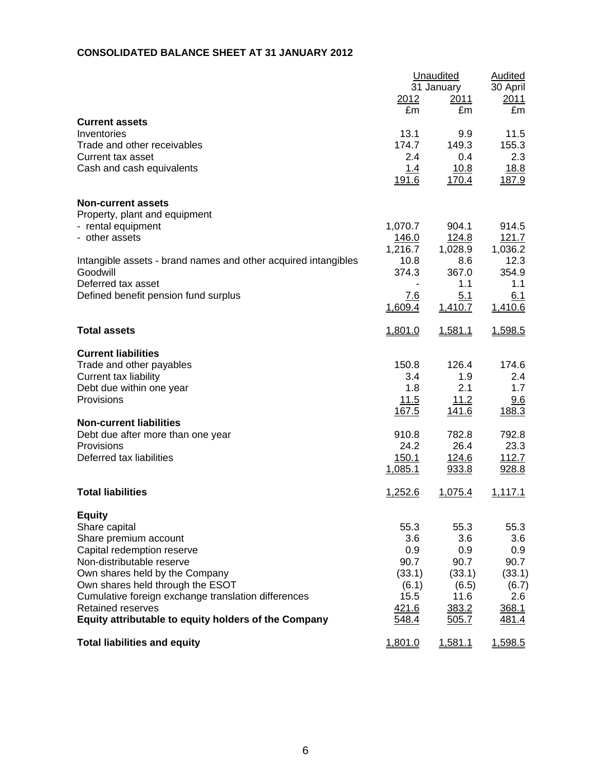# **CONSOLIDATED BALANCE SHEET AT 31 JANUARY 2012**

|                                                                |                | Unaudited          | Audited       |
|----------------------------------------------------------------|----------------|--------------------|---------------|
|                                                                |                | 31 January<br>2011 | 30 April      |
|                                                                | 2012<br>£m     | £m                 | 2011<br>£m    |
| <b>Current assets</b>                                          |                |                    |               |
| Inventories                                                    | 13.1           | 9.9                | 11.5          |
| Trade and other receivables                                    | 174.7          | 149.3              | 155.3         |
| Current tax asset                                              | 2.4            | 0.4                | 2.3           |
| Cash and cash equivalents                                      | 1.4            | 10.8               | 18.8          |
|                                                                | 191.6          | 170.4              | 187.9         |
| <b>Non-current assets</b>                                      |                |                    |               |
| Property, plant and equipment                                  |                |                    |               |
| - rental equipment                                             | 1,070.7        | 904.1              | 914.5         |
| - other assets                                                 | 146.0          | 124.8              | 121.7         |
|                                                                | 1,216.7        | 1,028.9            | 1,036.2       |
| Intangible assets - brand names and other acquired intangibles | 10.8           | 8.6                | 12.3          |
| Goodwill                                                       | 374.3          | 367.0              | 354.9         |
| Deferred tax asset                                             |                | 1.1                | 1.1           |
| Defined benefit pension fund surplus                           | <u>7.6</u>     | 5.1                | 6.1           |
|                                                                | 1,609.4        | 1,410.7            | 1,410.6       |
| <b>Total assets</b>                                            | 1,801.0        | 1,581.1            | 1,598.5       |
| <b>Current liabilities</b>                                     |                |                    |               |
| Trade and other payables                                       | 150.8          | 126.4              | 174.6         |
| Current tax liability                                          | 3.4            | 1.9                | 2.4           |
| Debt due within one year                                       | 1.8            | 2.1                | 1.7           |
| Provisions                                                     | 11.5           | 11.2               | 9.6           |
|                                                                | 167.5          | 141.6              | 188.3         |
| <b>Non-current liabilities</b>                                 |                |                    |               |
| Debt due after more than one year<br>Provisions                | 910.8<br>24.2  | 782.8<br>26.4      | 792.8<br>23.3 |
| Deferred tax liabilities                                       | <u>150.1</u>   | <u>124.6</u>       | 112.7         |
|                                                                | 1,085.1        | 933.8              | 928.8         |
|                                                                |                |                    |               |
| <b>Total liabilities</b>                                       | 1,252.6        | 1,075.4            | 1,117.1       |
| <b>Equity</b>                                                  |                |                    |               |
| Share capital                                                  | 55.3           | 55.3               | 55.3          |
| Share premium account                                          | 3.6            | 3.6                | 3.6           |
| Capital redemption reserve                                     | 0.9            | 0.9                | 0.9           |
| Non-distributable reserve                                      | 90.7           | 90.7               | 90.7          |
| Own shares held by the Company                                 | (33.1)         | (33.1)             | (33.1)        |
| Own shares held through the ESOT                               | (6.1)          | (6.5)              | (6.7)         |
| Cumulative foreign exchange translation differences            | 15.5           | 11.6               | 2.6           |
| <b>Retained reserves</b>                                       | 421.6          | 383.2              | 368.1         |
| Equity attributable to equity holders of the Company           | 548.4          | 505.7              | 481.4         |
| <b>Total liabilities and equity</b>                            | <u>1,801.0</u> | 1,581.1            | 1,598.5       |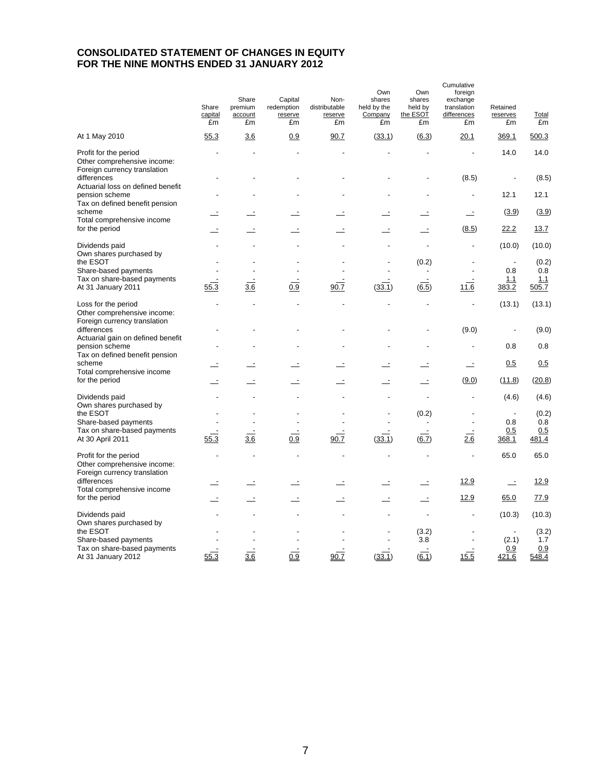# **CONSOLIDATED STATEMENT OF CHANGES IN EQUITY FOR THE NINE MONTHS ENDED 31 JANUARY 2012**

|                                                                                       | Share<br>capital<br>£m | Share<br>premium<br>account<br>£m | Capital<br>redemption<br>reserve<br>£m | Non-<br>distributable<br>reserve<br>£m | Own<br>shares<br>held by the<br>Company<br>£m | Own<br>shares<br>held by<br>the ESOT<br>£m | Cumulative<br>foreign<br>exchange<br>translation<br>differences<br>£m | Retained<br>reserves<br>£m | <b>Total</b><br>£m |
|---------------------------------------------------------------------------------------|------------------------|-----------------------------------|----------------------------------------|----------------------------------------|-----------------------------------------------|--------------------------------------------|-----------------------------------------------------------------------|----------------------------|--------------------|
| At 1 May 2010                                                                         | 55.3                   | <u>3.6</u>                        | 0.9                                    | 90.7                                   | (33.1)                                        | (6.3)                                      | <u>20.1</u>                                                           | 369.1                      | 500.3              |
| Profit for the period<br>Other comprehensive income:<br>Foreign currency translation  |                        |                                   |                                        |                                        |                                               |                                            |                                                                       | 14.0                       | 14.0               |
| differences<br>Actuarial loss on defined benefit                                      |                        |                                   |                                        |                                        |                                               |                                            | (8.5)                                                                 |                            | (8.5)              |
| pension scheme<br>Tax on defined benefit pension                                      |                        |                                   |                                        |                                        |                                               |                                            |                                                                       | 12.1                       | 12.1               |
| scheme                                                                                |                        |                                   |                                        |                                        |                                               |                                            | $\overline{\phantom{a}}$                                              | (3.9)                      | (3.9)              |
| Total comprehensive income<br>for the period                                          |                        |                                   |                                        |                                        |                                               |                                            | (8.5)                                                                 | 22.2                       | 13.7               |
| Dividends paid<br>Own shares purchased by                                             |                        |                                   |                                        |                                        |                                               |                                            | $\overline{a}$                                                        | (10.0)                     | (10.0)             |
| the ESOT                                                                              |                        |                                   |                                        |                                        |                                               | (0.2)                                      |                                                                       |                            | (0.2)              |
| Share-based payments                                                                  |                        |                                   |                                        |                                        |                                               |                                            | $\overline{a}$                                                        | 0.8                        | 0.8<br>1.1         |
| Tax on share-based payments<br>At 31 January 2011                                     | 55.3                   | 3.6                               | 0.9                                    | 90.7                                   | (33.1)                                        | (6.5)                                      | 11.6                                                                  | 1.1<br>383.2               | 505.7              |
| Loss for the period<br>Other comprehensive income:                                    |                        |                                   |                                        |                                        |                                               | L.                                         | $\overline{a}$                                                        | (13.1)                     | (13.1)             |
| Foreign currency translation<br>differences                                           |                        |                                   |                                        |                                        |                                               |                                            | (9.0)                                                                 | $\overline{a}$             | (9.0)              |
| Actuarial gain on defined benefit<br>pension scheme<br>Tax on defined benefit pension |                        |                                   |                                        |                                        |                                               |                                            | L,                                                                    | 0.8                        | 0.8                |
| scheme<br>Total comprehensive income                                                  |                        |                                   |                                        |                                        |                                               |                                            |                                                                       | 0.5                        | 0.5                |
| for the period                                                                        |                        | Ŀ                                 | $\overline{\phantom{a}}$               | Ŀ                                      | Ŀ                                             | $\overline{\phantom{a}}$                   | (9.0)                                                                 | (11.8)                     | (20.8)             |
| Dividends paid<br>Own shares purchased by                                             |                        |                                   |                                        |                                        |                                               |                                            | L,                                                                    | (4.6)                      | (4.6)              |
| the ESOT                                                                              |                        |                                   |                                        |                                        |                                               | (0.2)                                      |                                                                       |                            | (0.2)              |
| Share-based payments                                                                  |                        |                                   |                                        |                                        |                                               |                                            | L,                                                                    | 0.8                        | 0.8                |
| Tax on share-based payments                                                           |                        |                                   |                                        |                                        |                                               |                                            |                                                                       | 0.5                        | 0.5                |
| At 30 April 2011                                                                      | 55.3                   | 3.6                               | 0.9                                    | 90.7                                   | (33.1)                                        | $\overline{6.7}$                           | 2.6                                                                   | 368.1                      | 481.4              |
| Profit for the period<br>Other comprehensive income:<br>Foreign currency translation  |                        |                                   |                                        |                                        |                                               | ÷,                                         | Ĭ.                                                                    | 65.0                       | 65.0               |
| differences                                                                           |                        | Ξ                                 |                                        |                                        |                                               |                                            | 12.9                                                                  | $\equiv$                   | 12.9               |
| Total comprehensive income<br>for the period                                          |                        | $\overline{a}$                    |                                        |                                        |                                               |                                            | 12.9                                                                  | 65.0                       | 77.9               |
| Dividends paid<br>Own shares purchased by                                             |                        |                                   |                                        |                                        |                                               | $\ddot{\phantom{a}}$                       |                                                                       | (10.3)                     | (10.3)             |
| the ESOT                                                                              |                        |                                   |                                        |                                        |                                               | (3.2)                                      |                                                                       |                            | (3.2)              |
| Share-based payments                                                                  |                        |                                   |                                        |                                        |                                               | 3.8                                        |                                                                       | (2.1)                      | 1.7                |
| Tax on share-based payments<br>At 31 January 2012                                     | 55.3                   | 3.6                               | 0.9                                    | 90.7                                   | (33.1)                                        | $\overline{\phantom{a}}$<br>(6.1)          | 15.5                                                                  | 0.9<br>421.6               | 0.9<br>548.4       |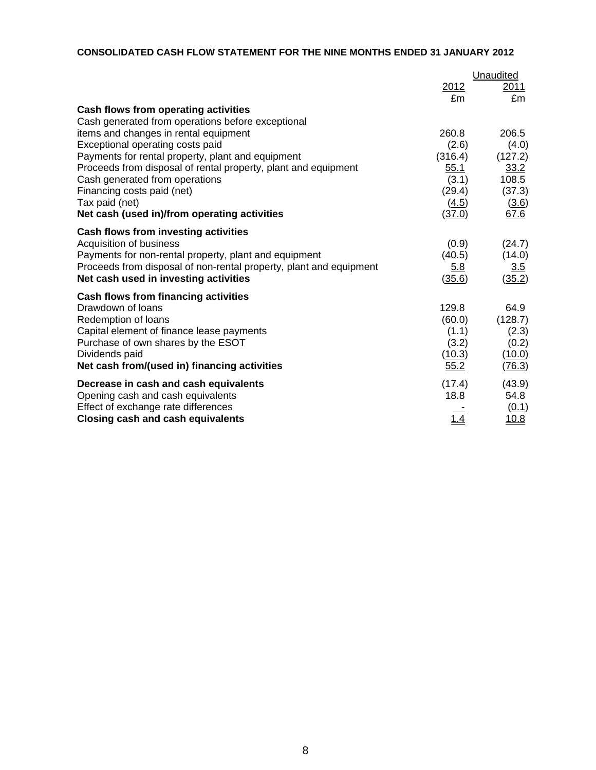# **CONSOLIDATED CASH FLOW STATEMENT FOR THE NINE MONTHS ENDED 31 JANUARY 2012**

|                                                                    |             | Unaudited     |
|--------------------------------------------------------------------|-------------|---------------|
|                                                                    | 2012        | 2011          |
|                                                                    | £m          | £m            |
| Cash flows from operating activities                               |             |               |
| Cash generated from operations before exceptional                  |             |               |
| items and changes in rental equipment                              | 260.8       | 206.5         |
| Exceptional operating costs paid                                   | (2.6)       | (4.0)         |
| Payments for rental property, plant and equipment                  | (316.4)     | (127.2)       |
| Proceeds from disposal of rental property, plant and equipment     | 55.1        | 33.2          |
| Cash generated from operations                                     | (3.1)       | 108.5         |
| Financing costs paid (net)                                         | (29.4)      | (37.3)        |
| Tax paid (net)                                                     | (4.5)       | (3.6)         |
| Net cash (used in)/from operating activities                       | (37.0)      | 67.6          |
| Cash flows from investing activities                               |             |               |
| Acquisition of business                                            | (0.9)       | (24.7)        |
| Payments for non-rental property, plant and equipment              | (40.5)      | (14.0)        |
| Proceeds from disposal of non-rental property, plant and equipment | <u>5.8</u>  | <u>3.5</u>    |
| Net cash used in investing activities                              | (35.6)      | (35.2)        |
| Cash flows from financing activities                               |             |               |
| Drawdown of loans                                                  | 129.8       | 64.9          |
| Redemption of loans                                                | (60.0)      | (128.7)       |
| Capital element of finance lease payments                          | (1.1)       | (2.3)         |
| Purchase of own shares by the ESOT                                 | (3.2)       | (0.2)         |
| Dividends paid                                                     | (10.3)      | <u>(10.0)</u> |
| Net cash from/(used in) financing activities                       | 55.2        | (76.3)        |
| Decrease in cash and cash equivalents                              | (17.4)      | (43.9)        |
| Opening cash and cash equivalents                                  | 18.8        | 54.8          |
| Effect of exchange rate differences                                |             | (0.1)         |
| <b>Closing cash and cash equivalents</b>                           | <u> 1.4</u> | 10.8          |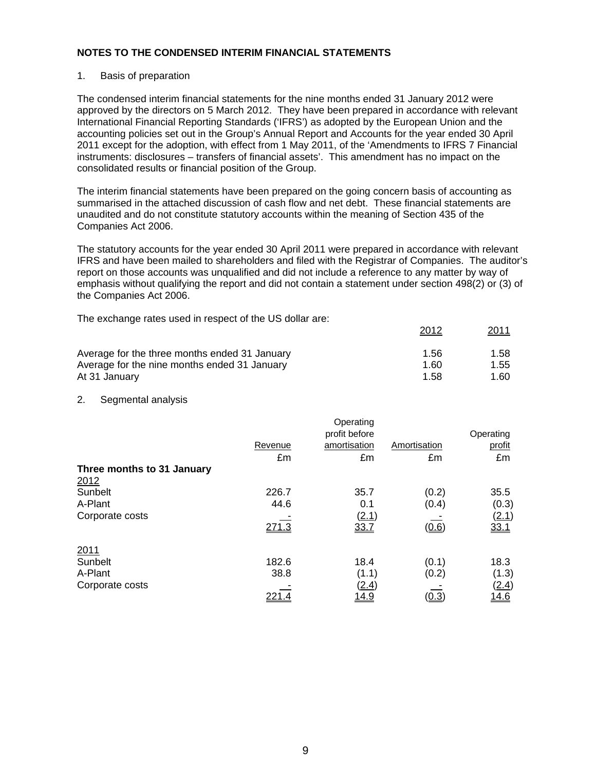#### 1. Basis of preparation

The condensed interim financial statements for the nine months ended 31 January 2012 were approved by the directors on 5 March 2012. They have been prepared in accordance with relevant International Financial Reporting Standards ('IFRS') as adopted by the European Union and the accounting policies set out in the Group's Annual Report and Accounts for the year ended 30 April 2011 except for the adoption, with effect from 1 May 2011, of the 'Amendments to IFRS 7 Financial instruments: disclosures – transfers of financial assets'. This amendment has no impact on the consolidated results or financial position of the Group.

The interim financial statements have been prepared on the going concern basis of accounting as summarised in the attached discussion of cash flow and net debt. These financial statements are unaudited and do not constitute statutory accounts within the meaning of Section 435 of the Companies Act 2006.

The statutory accounts for the year ended 30 April 2011 were prepared in accordance with relevant IFRS and have been mailed to shareholders and filed with the Registrar of Companies. The auditor's report on those accounts was unqualified and did not include a reference to any matter by way of emphasis without qualifying the report and did not contain a statement under section 498(2) or (3) of the Companies Act 2006.

2012 2011

The exchange rates used in respect of the US dollar are:

|                                               | ---- | <u>_____</u> |
|-----------------------------------------------|------|--------------|
| Average for the three months ended 31 January | 1.56 | 1.58         |
| Average for the nine months ended 31 January  | 1.60 | 1.55         |
| At 31 January                                 | 1.58 | 1.60         |

#### 2. Segmental analysis

|              | Operating    |                        | Operating |
|--------------|--------------|------------------------|-----------|
| Revenue      | amortisation | Amortisation           | profit    |
| £m           | £m           | £m                     | £m        |
|              |              |                        |           |
|              |              |                        |           |
| 226.7        | 35.7         | (0.2)                  | 35.5      |
| 44.6         | 0.1          | (0.4)                  | (0.3)     |
|              |              |                        | (2.1)     |
| 271.3        | 33.7         | (0.6)                  | 33.1      |
|              |              |                        |           |
| 182.6        | 18.4         | (0.1)                  | 18.3      |
| 38.8         | (1.1)        | (0.2)                  | (1.3)     |
|              | (2.4)        |                        | (2.4)     |
| <u>221.4</u> | <u> 14.9</u> | <u>(0.3)</u>           | 14.6      |
|              |              | profit before<br>(2.1) |           |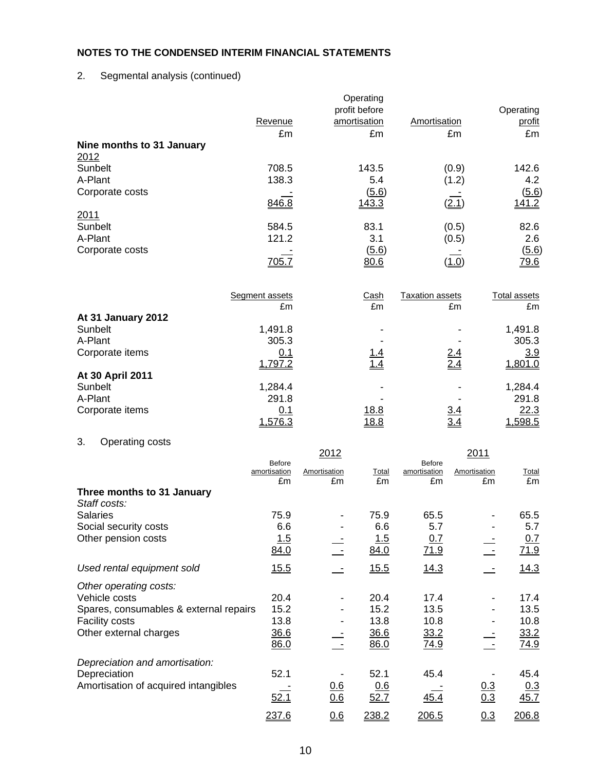# 2. Segmental analysis (continued)

|                                                         | Revenue                       |                     | Operating<br>profit before<br>amortisation | Amortisation                  |                     | Operating<br>profit |
|---------------------------------------------------------|-------------------------------|---------------------|--------------------------------------------|-------------------------------|---------------------|---------------------|
|                                                         | £m                            |                     | £m                                         |                               | £m                  | £m                  |
| Nine months to 31 January<br>2012                       |                               |                     |                                            |                               |                     |                     |
| Sunbelt                                                 | 708.5                         |                     | 143.5                                      |                               | (0.9)               | 142.6               |
| A-Plant                                                 | 138.3                         |                     | 5.4                                        |                               | (1.2)               | 4.2                 |
| Corporate costs                                         |                               |                     | (5.6)                                      |                               |                     | (5.6)               |
| 2011                                                    | 846.8                         |                     | <u>143.3</u>                               |                               | (2.1)               | <u>141.2</u>        |
| Sunbelt                                                 | 584.5                         |                     | 83.1                                       |                               | (0.5)               | 82.6                |
| A-Plant                                                 | 121.2                         |                     | 3.1                                        |                               | (0.5)               | 2.6                 |
| Corporate costs                                         |                               |                     | (5.6)                                      |                               |                     | (5.6)               |
|                                                         | <u>705.7</u>                  |                     | 80.6                                       |                               | (1.0)               | <u>79.6</u>         |
|                                                         | Segment assets                |                     | Cash                                       | <b>Taxation assets</b>        |                     | <b>Total assets</b> |
| At 31 January 2012                                      | £m                            |                     | £m                                         |                               | £m                  | £m                  |
| Sunbelt                                                 | 1,491.8                       |                     |                                            |                               |                     | 1,491.8             |
| A-Plant                                                 | 305.3                         |                     |                                            |                               |                     | 305.3               |
| Corporate items                                         | 0.1                           |                     |                                            |                               |                     | 3.9                 |
| At 30 April 2011                                        | 1,797.2                       |                     |                                            |                               |                     | 1,801.0             |
| Sunbelt                                                 | 1,284.4                       |                     |                                            |                               |                     | 1,284.4             |
| A-Plant                                                 | 291.8                         |                     |                                            |                               |                     | 291.8               |
| Corporate items                                         | 0.1                           |                     | <u>18.8</u>                                |                               | <u>3.4</u>          | 22.3                |
|                                                         | 1,576.3                       |                     | <u>18.8</u>                                |                               | <u>3.4</u>          | 1,598.5             |
| 3.<br>Operating costs                                   |                               |                     |                                            |                               |                     |                     |
|                                                         |                               | 2012                |                                            |                               | 2011                |                     |
|                                                         | <b>Before</b><br>amortisation | <b>Amortisation</b> | Total                                      | <b>Before</b><br>amortisation | <b>Amortisation</b> | <b>Total</b>        |
|                                                         | £m                            | £m                  | £m                                         | £m                            | £m                  | £m                  |
| Three months to 31 January<br>Staff costs:              |                               |                     |                                            |                               |                     |                     |
| <b>Salaries</b>                                         | 75.9                          |                     | 75.9                                       | 65.5                          |                     | 65.5                |
| Social security costs                                   | 6.6                           |                     | 6.6                                        | 5.7                           |                     | 5.7                 |
| Other pension costs                                     | <u>1.5</u>                    |                     | 1.5                                        | 0.7                           |                     | 0.7                 |
|                                                         | 84.0                          |                     | 84.0                                       | <u>71.9</u>                   |                     | <u>71.9</u>         |
| Used rental equipment sold                              | 15.5                          |                     | <u>15.5</u>                                | 14.3                          |                     | 14.3                |
| Other operating costs:                                  |                               |                     |                                            |                               |                     |                     |
| Vehicle costs<br>Spares, consumables & external repairs | 20.4<br>15.2                  |                     | 20.4<br>15.2                               | 17.4<br>13.5                  |                     | 17.4<br>13.5        |
| <b>Facility costs</b>                                   | 13.8                          |                     | 13.8                                       | 10.8                          |                     | 10.8                |
| Other external charges                                  | 36.6                          |                     | 36.6                                       | 33.2                          |                     | 33.2                |
|                                                         | 86.0                          |                     | 86.0                                       | 74.9                          |                     | 74.9                |
| Depreciation and amortisation:                          |                               |                     |                                            |                               |                     |                     |
| Depreciation                                            | 52.1                          |                     | 52.1                                       | 45.4                          |                     | 45.4                |
| Amortisation of acquired intangibles                    |                               | 0.6                 | 0.6                                        |                               | 0.3                 | <u>0.3</u>          |
|                                                         | 52.1                          | 0.6                 | <u>52.7</u>                                | <u>45.4</u>                   | 0.3                 | <u>45.7</u>         |
|                                                         | 237.6                         | 0.6                 | 238.2                                      | 206.5                         | 0.3                 | 206.8               |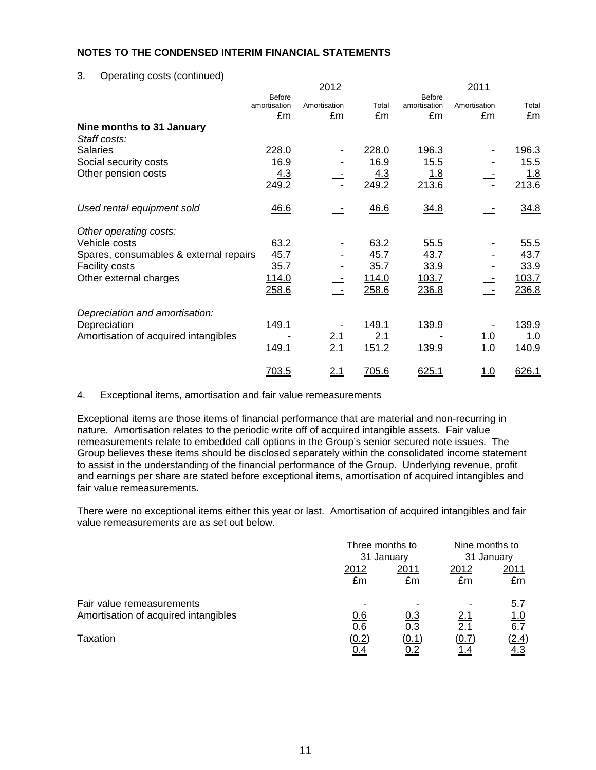3. Operating costs (continued)

|                                        |                                     | 2012               |              |                                     | 2011               |             |
|----------------------------------------|-------------------------------------|--------------------|--------------|-------------------------------------|--------------------|-------------|
|                                        | <b>Before</b><br>amortisation<br>£m | Amortisation<br>£m | Total<br>£m  | <b>Before</b><br>amortisation<br>£m | Amortisation<br>£m | Total<br>£m |
| Nine months to 31 January              |                                     |                    |              |                                     |                    |             |
| Staff costs:                           |                                     |                    |              |                                     |                    |             |
| <b>Salaries</b>                        | 228.0                               |                    | 228.0        | 196.3                               |                    | 196.3       |
| Social security costs                  | 16.9                                |                    | 16.9         | 15.5                                |                    | 15.5        |
| Other pension costs                    | 4.3                                 |                    | <u>4.3</u>   | <u>1.8</u>                          |                    | <u>1.8</u>  |
|                                        | 249.2                               |                    | 249.2        | 213.6                               |                    | 213.6       |
| Used rental equipment sold             | 46.6                                |                    | 46.6         | 34.8                                |                    | 34.8        |
| Other operating costs:                 |                                     |                    |              |                                     |                    |             |
| Vehicle costs                          | 63.2                                |                    | 63.2         | 55.5                                |                    | 55.5        |
| Spares, consumables & external repairs | 45.7                                |                    | 45.7         | 43.7                                |                    | 43.7        |
| <b>Facility costs</b>                  | 35.7                                |                    | 35.7         | 33.9                                |                    | 33.9        |
| Other external charges                 | <u>114.0</u>                        |                    | <u>114.0</u> | 103.7                               |                    | 103.7       |
|                                        | 258.6                               |                    | 258.6        | 236.8                               |                    | 236.8       |
| Depreciation and amortisation:         |                                     |                    |              |                                     |                    |             |
| Depreciation                           | 149.1                               |                    | 149.1        | 139.9                               |                    | 139.9       |
| Amortisation of acquired intangibles   |                                     | $\frac{2.1}{2.1}$  | 2.1          |                                     | <u> 1.0</u>        | <u> 1.0</u> |
|                                        | 149.1                               |                    | 151.2        | 139.9                               | 1.0                | 140.9       |
|                                        | 703.5                               | 2.1                | 705.6        | 625.1                               | <u> 1.0</u>        | 626.1       |

4. Exceptional items, amortisation and fair value remeasurements

Exceptional items are those items of financial performance that are material and non-recurring in nature. Amortisation relates to the periodic write off of acquired intangible assets. Fair value remeasurements relate to embedded call options in the Group's senior secured note issues. The Group believes these items should be disclosed separately within the consolidated income statement to assist in the understanding of the financial performance of the Group. Underlying revenue, profit and earnings per share are stated before exceptional items, amortisation of acquired intangibles and fair value remeasurements.

There were no exceptional items either this year or last. Amortisation of acquired intangibles and fair value remeasurements are as set out below.

|                                      | Three months to |            | Nine months to |             |  |
|--------------------------------------|-----------------|------------|----------------|-------------|--|
|                                      |                 | 31 January |                | 31 January  |  |
|                                      | 2012            | 2011       |                | 2011        |  |
|                                      | £m              | £m         | £m             | £m          |  |
| Fair value remeasurements            |                 |            |                | 5.7         |  |
| Amortisation of acquired intangibles | 0.6             | 0.3        | 2.1            | <u> 1.0</u> |  |
|                                      | 0.6             | 0.3        | 2.1            | 6.7         |  |
| Taxation                             | (0.2)           | (0.1)      | (0.7)          | (2.4)       |  |
|                                      | <u>0.4</u>      |            | <u>1.4</u>     | <u>4.3</u>  |  |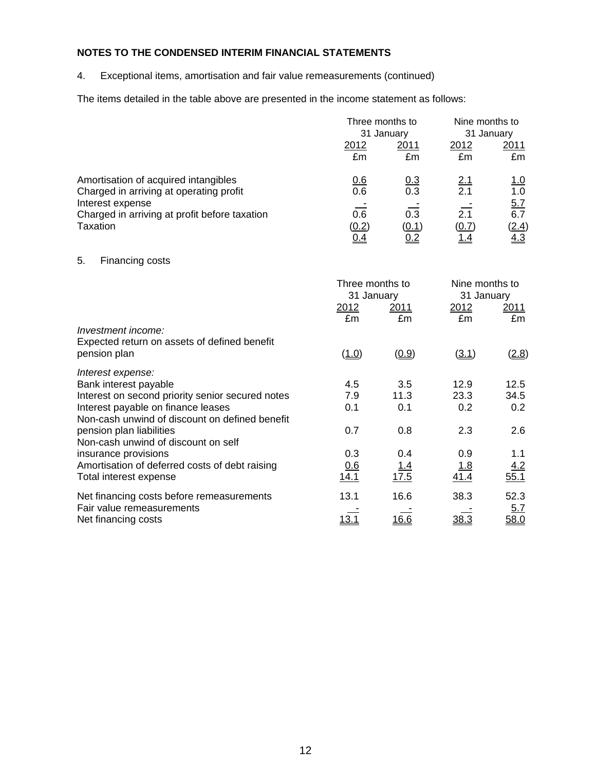4. Exceptional items, amortisation and fair value remeasurements (continued)

The items detailed in the table above are presented in the income statement as follows:

|                                                                                                     | Three months to<br>31 January               |                                  | Nine months to<br>31 January               |                                   |
|-----------------------------------------------------------------------------------------------------|---------------------------------------------|----------------------------------|--------------------------------------------|-----------------------------------|
|                                                                                                     | 2012<br>£m                                  | 2011<br>£m                       | 2012<br>£m                                 | 2011<br>£m                        |
| Amortisation of acquired intangibles<br>Charged in arriving at operating profit<br>Interest expense | 0.6<br>0.6                                  | $\frac{0.3}{0.3}$                | $\frac{2.1}{2.1}$                          | <u>1.0</u><br>1.0                 |
| Charged in arriving at profit before taxation<br><b>Taxation</b>                                    | $\overline{0.6}$<br>(0.2)<br>0.4            | $\overline{0.3}$<br>(0.1)<br>0.2 | 2.1<br>(0.7)<br>1.4                        | $\frac{5.7}{6.7}$<br>(2.4)<br>4.3 |
| 5.<br>Financing costs                                                                               |                                             |                                  |                                            |                                   |
|                                                                                                     | Three months to<br>31 January<br>2012<br>£m | 2011<br>£m                       | Nine months to<br>31 January<br>2012<br>£m | 2011<br>£m                        |
| Investment income:<br>Expected return on assets of defined benefit<br>pension plan                  | (1.0)                                       | (0.9)                            | (3.1)                                      | (2.8)                             |
| Interest expense:<br>Bank interest payable<br>Interest on second priority senior secured notes      | 4.5<br>7.9                                  | 3.5<br>11.3                      | 12.9<br>23.3                               | 12.5<br>34.5                      |
| Interest payable on finance leases<br>Non-cash unwind of discount on defined benefit                | 0.1                                         | 0.1                              | 0.2                                        | 0.2                               |
| pension plan liabilities<br>Non-cash unwind of discount on self                                     | 0.7                                         | 0.8                              | 2.3                                        | 2.6                               |
| insurance provisions<br>Amortisation of deferred costs of debt raising<br>Total interest expense    | 0.3<br>0.6<br>14.1                          | 0.4<br>1.4<br>17.5               | 0.9<br><u>1.8</u><br>41.4                  | 1.1<br>4.2<br>55.1                |
| Net financing costs before remeasurements<br>Fair value remeasurements                              | 13.1                                        | 16.6                             | 38.3                                       | 52.3                              |
| Net financing costs                                                                                 | 13.1                                        | 16.6                             | 38.3                                       | <u>5.7</u><br>58.0                |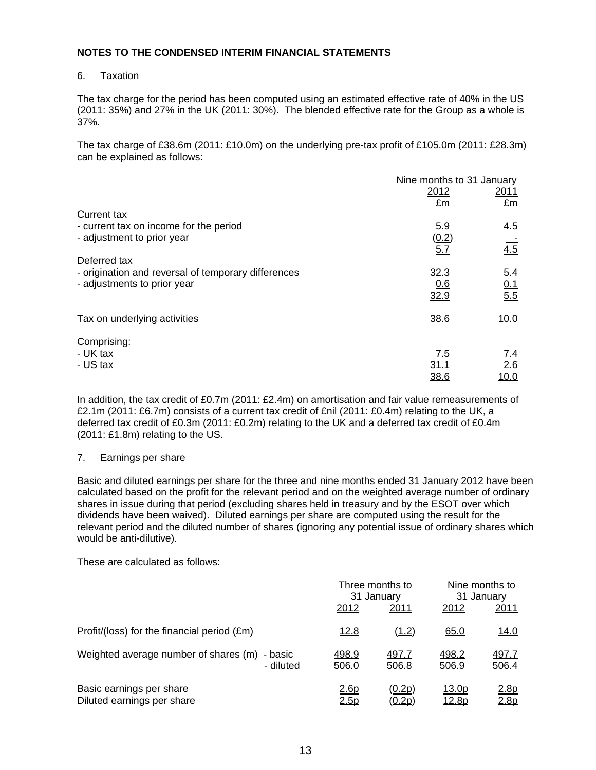#### 6. Taxation

The tax charge for the period has been computed using an estimated effective rate of 40% in the US (2011: 35%) and 27% in the UK (2011: 30%). The blended effective rate for the Group as a whole is 37%.

The tax charge of £38.6m (2011: £10.0m) on the underlying pre-tax profit of £105.0m (2011: £28.3m) can be explained as follows:

|                                                     |             | Nine months to 31 January |  |  |
|-----------------------------------------------------|-------------|---------------------------|--|--|
|                                                     | 2012        | 2011                      |  |  |
|                                                     | £m          | £m                        |  |  |
| Current tax                                         |             |                           |  |  |
| - current tax on income for the period              | 5.9         | 4.5                       |  |  |
| - adjustment to prior year                          | (0.2)       |                           |  |  |
|                                                     | 5.7         | $\overline{4.5}$          |  |  |
| Deferred tax                                        |             |                           |  |  |
| - origination and reversal of temporary differences | 32.3        | 5.4                       |  |  |
| - adjustments to prior year                         | 0.6         | 0.1                       |  |  |
|                                                     | 32.9        | 5.5                       |  |  |
|                                                     |             |                           |  |  |
| Tax on underlying activities                        | 38.6        | <u>10.0</u>               |  |  |
| Comprising:                                         |             |                           |  |  |
| - UK tax                                            | 7.5         | 7.4                       |  |  |
| - US tax                                            | <u>31.1</u> | 2.6                       |  |  |
|                                                     | 38.6        | 10.0                      |  |  |
|                                                     |             |                           |  |  |

In addition, the tax credit of £0.7m (2011: £2.4m) on amortisation and fair value remeasurements of £2.1m (2011: £6.7m) consists of a current tax credit of £nil (2011: £0.4m) relating to the UK, a deferred tax credit of £0.3m (2011: £0.2m) relating to the UK and a deferred tax credit of £0.4m (2011: £1.8m) relating to the US.

#### 7. Earnings per share

Basic and diluted earnings per share for the three and nine months ended 31 January 2012 have been calculated based on the profit for the relevant period and on the weighted average number of ordinary shares in issue during that period (excluding shares held in treasury and by the ESOT over which dividends have been waived). Diluted earnings per share are computed using the result for the relevant period and the diluted number of shares (ignoring any potential issue of ordinary shares which would be anti-dilutive).

These are calculated as follows:

|                                                            | Three months to<br>31 January |                                | Nine months to<br>31 January  |                       |
|------------------------------------------------------------|-------------------------------|--------------------------------|-------------------------------|-----------------------|
|                                                            | 2012                          | 2011                           | 2012                          | 2011                  |
| Profit/(loss) for the financial period (£m)                | <u> 12.8</u>                  | (1.2)                          | 65.0                          | <u>14.0</u>           |
| Weighted average number of shares (m) - basic<br>- diluted | 498.9<br>506.0                | 497.7<br>506.8                 | 498.2<br>506.9                | <u>497.7</u><br>506.4 |
| Basic earnings per share<br>Diluted earnings per share     | <u> 2.6p</u><br><u>2.5p</u>   | <u>(0.2p)</u><br><u>(0.2p)</u> | <u>13.0p</u><br><u> 12.8p</u> | <u>2.8p</u><br>2.8p   |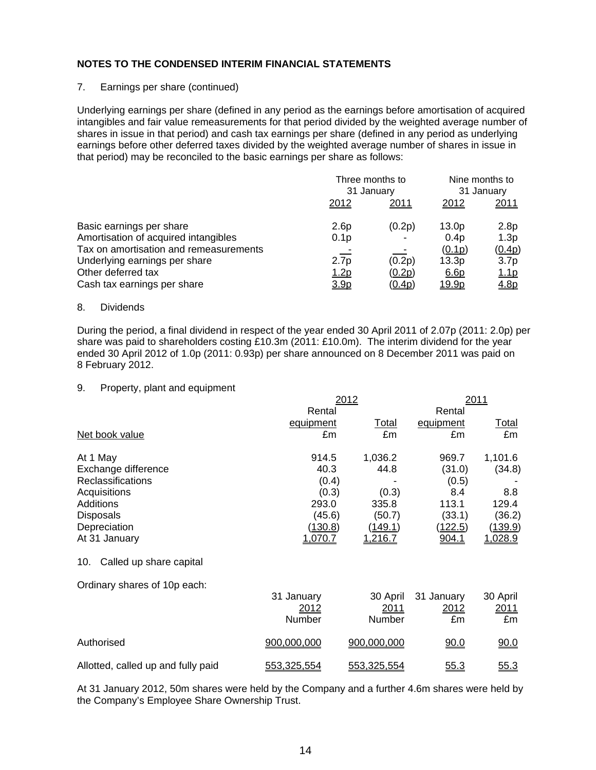#### 7. Earnings per share (continued)

Underlying earnings per share (defined in any period as the earnings before amortisation of acquired intangibles and fair value remeasurements for that period divided by the weighted average number of shares in issue in that period) and cash tax earnings per share (defined in any period as underlying earnings before other deferred taxes divided by the weighted average number of shares in issue in that period) may be reconciled to the basic earnings per share as follows:

|                                        | Three months to  |               | Nine months to    |                  |
|----------------------------------------|------------------|---------------|-------------------|------------------|
|                                        | 31 January       |               | 31 January        |                  |
|                                        | 2012             | 2011          | 2012              | <u>2011</u>      |
| Basic earnings per share               | 2.6p             | (0.2p)        | 13.0 <sub>p</sub> | 2.8p             |
| Amortisation of acquired intangibles   | 0.1 <sub>p</sub> |               | 0.4p              | 1.3p             |
| Tax on amortisation and remeasurements |                  |               | (0.1p)            | (0.4p)           |
| Underlying earnings per share          | 2.7 <sub>p</sub> | (0.2p)        | 13.3p             | 3.7 <sub>p</sub> |
| Other deferred tax                     | <u>1.2p</u>      | (0.2p)        | 6.6 <sub>p</sub>  | <u>1.1p</u>      |
| Cash tax earnings per share            | 3.9p             | <u>(0.4p)</u> | <u>19.9p</u>      | 4.8p             |

#### 8. Dividends

During the period, a final dividend in respect of the year ended 30 April 2011 of 2.07p (2011: 2.0p) per share was paid to shareholders costing £10.3m (2011: £10.0m). The interim dividend for the year ended 30 April 2012 of 1.0p (2011: 0.93p) per share announced on 8 December 2011 was paid on 8 February 2012.

#### 9. Property, plant and equipment

|                                    | 2012        | 2011        |                |                |  |
|------------------------------------|-------------|-------------|----------------|----------------|--|
|                                    | Rental      |             | Rental         |                |  |
|                                    | equipment   | Total       | equipment      | Total          |  |
| Net book value                     | £m          | £m          | £m             | £m             |  |
| At 1 May                           | 914.5       | 1,036.2     | 969.7          | 1,101.6        |  |
| Exchange difference                | 40.3        | 44.8        | (31.0)         | (34.8)         |  |
| Reclassifications                  | (0.4)       |             | (0.5)          |                |  |
| Acquisitions                       | (0.3)       | (0.3)       | 8.4            | 8.8            |  |
| <b>Additions</b>                   | 293.0       | 335.8       | 113.1          | 129.4          |  |
| <b>Disposals</b>                   | (45.6)      | (50.7)      | (33.1)         | (36.2)         |  |
| Depreciation                       | (130.8)     | (149.1)     | <u>(122.5)</u> | <u>(139.9)</u> |  |
| At 31 January                      | 1.070.7     | 1,216.7     | 904.1          | 1,028.9        |  |
| Called up share capital<br>10.     |             |             |                |                |  |
| Ordinary shares of 10p each:       |             |             |                |                |  |
|                                    | 31 January  | 30 April    | 31 January     | 30 April       |  |
|                                    | 2012        | 2011        | <u>2012</u>    | <u>2011</u>    |  |
|                                    | Number      | Number      | £m             | £m             |  |
| Authorised                         | 900,000,000 | 900,000,000 | 90.0           | 90.0           |  |
| Allotted, called up and fully paid | 553,325,554 | 553,325,554 | 55.3           | 55.3           |  |

At 31 January 2012, 50m shares were held by the Company and a further 4.6m shares were held by the Company's Employee Share Ownership Trust.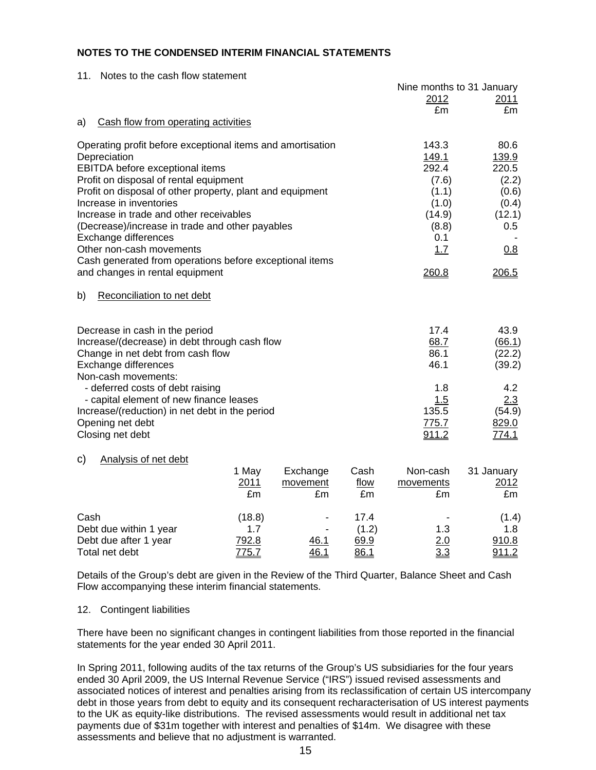| Notes to the cash flow statement<br>11.                                              |        |                      |              |                           |                    |
|--------------------------------------------------------------------------------------|--------|----------------------|--------------|---------------------------|--------------------|
|                                                                                      |        |                      |              | Nine months to 31 January |                    |
|                                                                                      |        |                      |              | 2012<br>£m                | 2011<br>£m         |
| Cash flow from operating activities<br>a)                                            |        |                      |              |                           |                    |
|                                                                                      |        |                      |              |                           |                    |
| Operating profit before exceptional items and amortisation                           |        |                      |              | 143.3                     | 80.6               |
| Depreciation                                                                         |        |                      |              | 149.1                     | 139.9              |
| <b>EBITDA</b> before exceptional items                                               |        |                      |              | 292.4                     | 220.5              |
| Profit on disposal of rental equipment                                               |        |                      |              | (7.6)                     | (2.2)              |
| Profit on disposal of other property, plant and equipment<br>Increase in inventories |        |                      |              | (1.1)                     | (0.6)              |
| Increase in trade and other receivables                                              |        |                      |              | (1.0)<br>(14.9)           | (0.4)              |
| (Decrease)/increase in trade and other payables                                      |        |                      |              | (8.8)                     | (12.1)<br>0.5      |
| Exchange differences                                                                 |        |                      |              | 0.1                       |                    |
| Other non-cash movements                                                             |        |                      |              | 1.7                       | 0.8                |
| Cash generated from operations before exceptional items                              |        |                      |              |                           |                    |
| and changes in rental equipment                                                      |        |                      |              | 260.8                     | 206.5              |
|                                                                                      |        |                      |              |                           |                    |
| Reconciliation to net debt<br>b)                                                     |        |                      |              |                           |                    |
|                                                                                      |        |                      |              |                           |                    |
| Decrease in cash in the period                                                       |        |                      |              | 17.4                      | 43.9               |
| Increase/(decrease) in debt through cash flow                                        |        |                      |              | 68.7                      | (66.1)             |
| Change in net debt from cash flow                                                    |        |                      |              | 86.1                      | (22.2)             |
| Exchange differences                                                                 |        |                      |              | 46.1                      | (39.2)             |
| Non-cash movements:                                                                  |        |                      |              |                           |                    |
| - deferred costs of debt raising                                                     |        |                      |              | 1.8                       | 4.2                |
| - capital element of new finance leases                                              |        |                      |              | 1.5                       | 2.3                |
| Increase/(reduction) in net debt in the period                                       |        |                      |              | 135.5                     | (54.9)             |
| Opening net debt                                                                     |        |                      |              | 775.7                     | 829.0              |
| Closing net debt                                                                     |        |                      |              | 911.2                     | 774.1              |
|                                                                                      |        |                      |              |                           |                    |
| Analysis of net debt<br>C)                                                           | 1 May  |                      |              |                           |                    |
|                                                                                      | 2011   | Exchange<br>movement | Cash<br>flow | Non-cash<br>movements     | 31 January<br>2012 |
|                                                                                      | £m     | £m                   | £m           | £m                        | £m                 |
|                                                                                      |        |                      |              |                           |                    |
| Cash                                                                                 | (18.8) |                      | 17.4         |                           | (1.4)              |
| Debt due within 1 year                                                               | 1.7    |                      | (1.2)        | 1.3                       | 1.8                |
| Debt due after 1 year                                                                | 792.8  | <u>46.1</u>          | 69.9         | 2.0                       | 910.8              |
| Total net debt                                                                       | 775.7  | 46.1                 | 86.1         | 3.3                       | 911.2              |

Details of the Group's debt are given in the Review of the Third Quarter, Balance Sheet and Cash Flow accompanying these interim financial statements.

#### 12. Contingent liabilities

There have been no significant changes in contingent liabilities from those reported in the financial statements for the year ended 30 April 2011.

In Spring 2011, following audits of the tax returns of the Group's US subsidiaries for the four years ended 30 April 2009, the US Internal Revenue Service ("IRS") issued revised assessments and associated notices of interest and penalties arising from its reclassification of certain US intercompany debt in those years from debt to equity and its consequent recharacterisation of US interest payments to the UK as equity-like distributions. The revised assessments would result in additional net tax payments due of \$31m together with interest and penalties of \$14m. We disagree with these assessments and believe that no adjustment is warranted.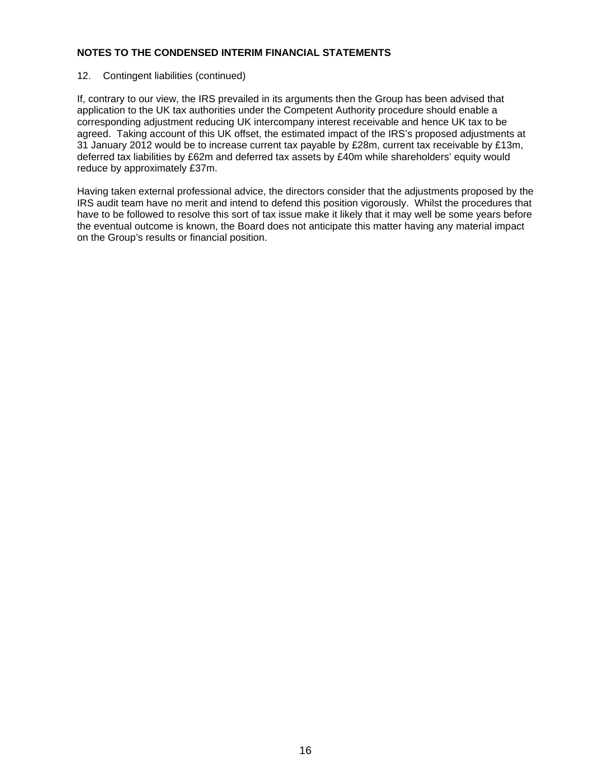# 12. Contingent liabilities (continued)

If, contrary to our view, the IRS prevailed in its arguments then the Group has been advised that application to the UK tax authorities under the Competent Authority procedure should enable a corresponding adjustment reducing UK intercompany interest receivable and hence UK tax to be agreed. Taking account of this UK offset, the estimated impact of the IRS's proposed adjustments at 31 January 2012 would be to increase current tax payable by £28m, current tax receivable by £13m, deferred tax liabilities by £62m and deferred tax assets by £40m while shareholders' equity would reduce by approximately £37m.

Having taken external professional advice, the directors consider that the adjustments proposed by the IRS audit team have no merit and intend to defend this position vigorously. Whilst the procedures that have to be followed to resolve this sort of tax issue make it likely that it may well be some years before the eventual outcome is known, the Board does not anticipate this matter having any material impact on the Group's results or financial position.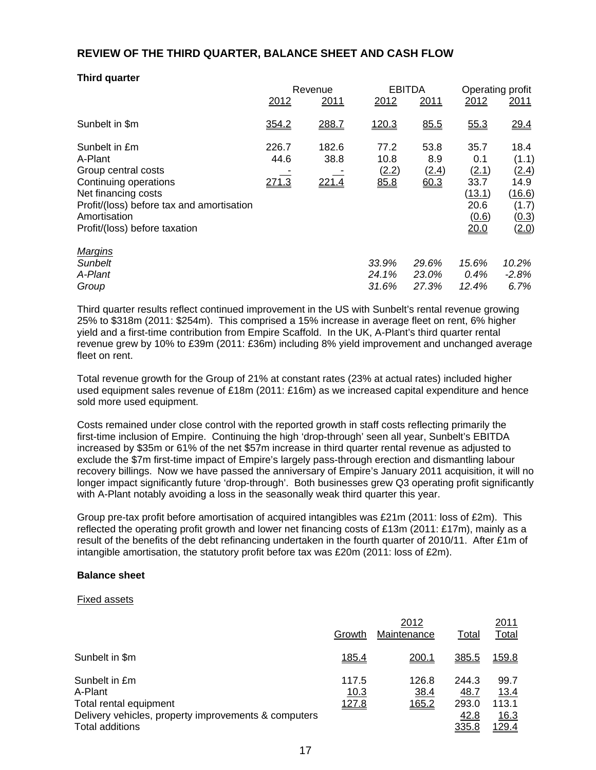# **REVIEW OF THE THIRD QUARTER, BALANCE SHEET AND CASH FLOW**

| <b>Third quarter</b>                                                                                                                                                                          |                        |                        |                               |                              |                                                                 |                                                                                   |
|-----------------------------------------------------------------------------------------------------------------------------------------------------------------------------------------------|------------------------|------------------------|-------------------------------|------------------------------|-----------------------------------------------------------------|-----------------------------------------------------------------------------------|
|                                                                                                                                                                                               |                        | Revenue                |                               | <b>EBITDA</b>                |                                                                 | Operating profit                                                                  |
|                                                                                                                                                                                               | 2012                   | <u>2011</u>            | 2012                          | 2011                         | 2012                                                            | 2011                                                                              |
| Sunbelt in \$m                                                                                                                                                                                | 354.2                  | 288.7                  | 120.3                         | 85.5                         | 55.3                                                            | 29.4                                                                              |
| Sunbelt in £m<br>A-Plant<br>Group central costs<br>Continuing operations<br>Net financing costs<br>Profit/(loss) before tax and amortisation<br>Amortisation<br>Profit/(loss) before taxation | 226.7<br>44.6<br>271.3 | 182.6<br>38.8<br>221.4 | 77.2<br>10.8<br>(2.2)<br>85.8 | 53.8<br>8.9<br>(2.4)<br>60.3 | 35.7<br>0.1<br>(2.1)<br>33.7<br>(13.1)<br>20.6<br>(0.6)<br>20.0 | 18.4<br>(1.1)<br><u>(2.4)</u><br>14.9<br><u>(16.6)</u><br>(1.7)<br>(0.3)<br>(2.0) |
| <b>Margins</b><br>Sunbelt<br>A-Plant<br>Group                                                                                                                                                 |                        |                        | 33.9%<br>24.1%<br>31.6%       | 29.6%<br>23.0%<br>27.3%      | 15.6%<br>0.4%<br>12.4%                                          | 10.2%<br>$-2.8%$<br>6.7%                                                          |

Third quarter results reflect continued improvement in the US with Sunbelt's rental revenue growing 25% to \$318m (2011: \$254m). This comprised a 15% increase in average fleet on rent, 6% higher yield and a first-time contribution from Empire Scaffold. In the UK, A-Plant's third quarter rental revenue grew by 10% to £39m (2011: £36m) including 8% yield improvement and unchanged average fleet on rent

Total revenue growth for the Group of 21% at constant rates (23% at actual rates) included higher used equipment sales revenue of £18m (2011: £16m) as we increased capital expenditure and hence sold more used equipment.

Costs remained under close control with the reported growth in staff costs reflecting primarily the first-time inclusion of Empire. Continuing the high 'drop-through' seen all year, Sunbelt's EBITDA increased by \$35m or 61% of the net \$57m increase in third quarter rental revenue as adjusted to exclude the \$7m first-time impact of Empire's largely pass-through erection and dismantling labour recovery billings. Now we have passed the anniversary of Empire's January 2011 acquisition, it will no longer impact significantly future 'drop-through'. Both businesses grew Q3 operating profit significantly with A-Plant notably avoiding a loss in the seasonally weak third quarter this year.

Group pre-tax profit before amortisation of acquired intangibles was £21m (2011: loss of £2m). This reflected the operating profit growth and lower net financing costs of £13m (2011: £17m), mainly as a result of the benefits of the debt refinancing undertaken in the fourth quarter of 2010/11. After £1m of intangible amortisation, the statutory profit before tax was £20m (2011: loss of  $E2m$ ).

#### **Balance sheet**

#### Fixed assets

|                                                                                                                               | Growth                 | 2012<br>Maintenance    | Total                                   | 2011<br>Total                                 |
|-------------------------------------------------------------------------------------------------------------------------------|------------------------|------------------------|-----------------------------------------|-----------------------------------------------|
| Sunbelt in \$m                                                                                                                | 185.4                  | 200.1                  | <u>385.5</u>                            | <u> 159.8</u>                                 |
| Sunbelt in £m<br>A-Plant<br>Total rental equipment<br>Delivery vehicles, property improvements & computers<br>Total additions | 117.5<br>10.3<br>127.8 | 126.8<br>38.4<br>165.2 | 244.3<br>48.7<br>293.0<br>42.8<br>335.8 | 99.7<br>13.4<br>113.1<br>16.3<br><u>129.4</u> |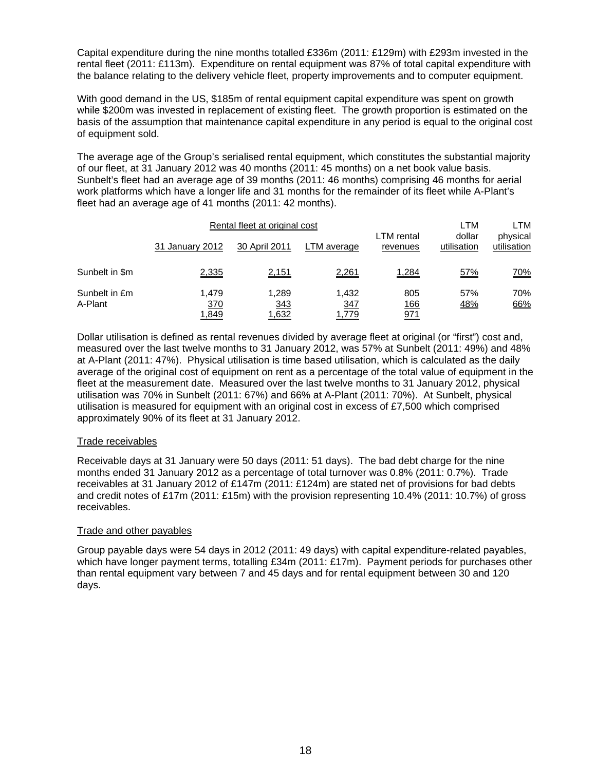Capital expenditure during the nine months totalled £336m (2011: £129m) with £293m invested in the rental fleet (2011: £113m). Expenditure on rental equipment was 87% of total capital expenditure with the balance relating to the delivery vehicle fleet, property improvements and to computer equipment.

With good demand in the US, \$185m of rental equipment capital expenditure was spent on growth while \$200m was invested in replacement of existing fleet. The growth proportion is estimated on the basis of the assumption that maintenance capital expenditure in any period is equal to the original cost of equipment sold.

The average age of the Group's serialised rental equipment, which constitutes the substantial majority of our fleet, at 31 January 2012 was 40 months (2011: 45 months) on a net book value basis. Sunbelt's fleet had an average age of 39 months (2011: 46 months) comprising 46 months for aerial work platforms which have a longer life and 31 months for the remainder of its fleet while A-Plant's fleet had an average age of 41 months (2011: 42 months).

| Rental fleet at original cost |                       |                       |                       | LTM                           | LTM                   |                         |
|-------------------------------|-----------------------|-----------------------|-----------------------|-------------------------------|-----------------------|-------------------------|
|                               | 31 January 2012       | 30 April 2011         | LTM average           | <b>LTM</b> rental<br>revenues | dollar<br>utilisation | physical<br>utilisation |
| Sunbelt in \$m                | 2,335                 | 2,151                 | 2,261                 | 1,284                         | <u>57%</u>            | 70%                     |
| Sunbelt in £m<br>A-Plant      | 1.479<br>370<br>1,849 | 1,289<br>343<br>1,632 | 1.432<br>347<br>1,779 | 805<br><u>166</u><br>971      | 57%<br><u>48%</u>     | 70%<br>66%              |

Dollar utilisation is defined as rental revenues divided by average fleet at original (or "first") cost and, measured over the last twelve months to 31 January 2012, was 57% at Sunbelt (2011: 49%) and 48% at A-Plant (2011: 47%). Physical utilisation is time based utilisation, which is calculated as the daily average of the original cost of equipment on rent as a percentage of the total value of equipment in the fleet at the measurement date. Measured over the last twelve months to 31 January 2012, physical utilisation was 70% in Sunbelt (2011: 67%) and 66% at A-Plant (2011: 70%). At Sunbelt, physical utilisation is measured for equipment with an original cost in excess of £7,500 which comprised approximately 90% of its fleet at 31 January 2012.

#### Trade receivables

Receivable days at 31 January were 50 days (2011: 51 days). The bad debt charge for the nine months ended 31 January 2012 as a percentage of total turnover was 0.8% (2011: 0.7%). Trade receivables at 31 January 2012 of £147m (2011: £124m) are stated net of provisions for bad debts and credit notes of £17m (2011: £15m) with the provision representing 10.4% (2011: 10.7%) of gross receivables.

#### Trade and other payables

Group payable days were 54 days in 2012 (2011: 49 days) with capital expenditure-related payables, which have longer payment terms, totalling £34m (2011: £17m). Payment periods for purchases other than rental equipment vary between 7 and 45 days and for rental equipment between 30 and 120 days.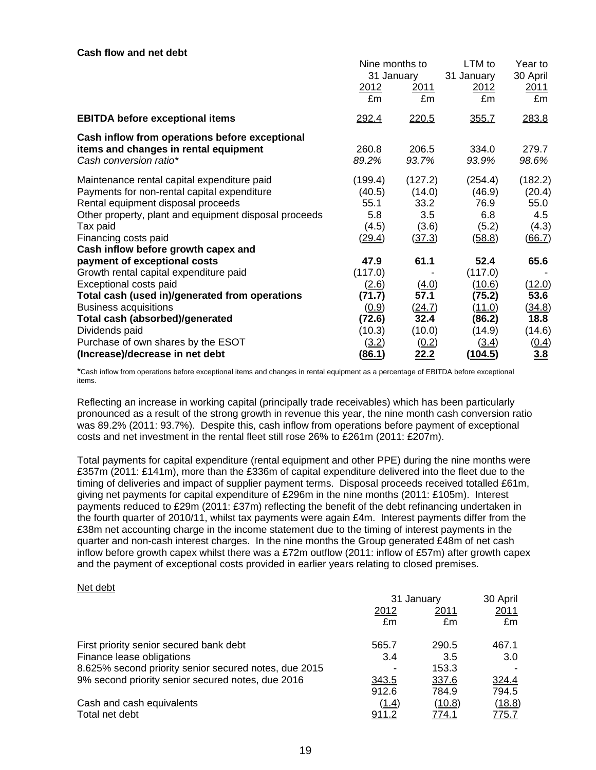#### **Cash flow and net debt**

|                                                       | Nine months to |         | LTM to         | Year to       |
|-------------------------------------------------------|----------------|---------|----------------|---------------|
|                                                       | 31 January     |         | 31 January     | 30 April      |
|                                                       | 2012           | 2011    | 2012           | <u>2011</u>   |
|                                                       | £m             | £m      | £m             | £m            |
| <b>EBITDA before exceptional items</b>                | 292.4          | 220.5   | 355.7          | 283.8         |
| Cash inflow from operations before exceptional        |                |         |                |               |
| items and changes in rental equipment                 | 260.8          | 206.5   | 334.0          | 279.7         |
| Cash conversion ratio*                                | 89.2%          | 93.7%   | 93.9%          | 98.6%         |
| Maintenance rental capital expenditure paid           | (199.4)        | (127.2) | (254.4)        | (182.2)       |
| Payments for non-rental capital expenditure           | (40.5)         | (14.0)  | (46.9)         | (20.4)        |
| Rental equipment disposal proceeds                    | 55.1           | 33.2    | 76.9           | 55.0          |
| Other property, plant and equipment disposal proceeds | 5.8            | 3.5     | 6.8            | 4.5           |
| Tax paid                                              | (4.5)          | (3.6)   | (5.2)          | (4.3)         |
| Financing costs paid                                  | (29.4)         | (37.3)  | <u>(58.8)</u>  | <u>(66.7)</u> |
| Cash inflow before growth capex and                   |                |         |                |               |
| payment of exceptional costs                          | 47.9           | 61.1    | 52.4           | 65.6          |
| Growth rental capital expenditure paid                | (117.0)        |         | (117.0)        |               |
| Exceptional costs paid                                | (2.6)          | (4.0)   | (10.6)         | (12.0)        |
| Total cash (used in)/generated from operations        | (71.7)         | 57.1    | (75.2)         | 53.6          |
| <b>Business acquisitions</b>                          | (0.9)          | (24.7)  | (11.0)         | (34.8)        |
| Total cash (absorbed)/generated                       | (72.6)         | 32.4    | (86.2)         | 18.8          |
| Dividends paid                                        | (10.3)         | (10.0)  | (14.9)         | (14.6)        |
| Purchase of own shares by the ESOT                    | (3.2)          | (0.2)   | (3.4)          | <u>(0.4)</u>  |
| (Increase)/decrease in net debt                       | (86.1)         | 22.2    | <u>(104.5)</u> | 3.8           |

\*Cash inflow from operations before exceptional items and changes in rental equipment as a percentage of EBITDA before exceptional items.

Reflecting an increase in working capital (principally trade receivables) which has been particularly pronounced as a result of the strong growth in revenue this year, the nine month cash conversion ratio was 89.2% (2011: 93.7%). Despite this, cash inflow from operations before payment of exceptional costs and net investment in the rental fleet still rose 26% to £261m (2011: £207m).

Total payments for capital expenditure (rental equipment and other PPE) during the nine months were £357m (2011: £141m), more than the £336m of capital expenditure delivered into the fleet due to the timing of deliveries and impact of supplier payment terms. Disposal proceeds received totalled £61m, giving net payments for capital expenditure of £296m in the nine months (2011: £105m). Interest payments reduced to £29m (2011: £37m) reflecting the benefit of the debt refinancing undertaken in the fourth quarter of 2010/11, whilst tax payments were again £4m. Interest payments differ from the £38m net accounting charge in the income statement due to the timing of interest payments in the quarter and non-cash interest charges. In the nine months the Group generated £48m of net cash inflow before growth capex whilst there was a £72m outflow (2011: inflow of £57m) after growth capex and the payment of exceptional costs provided in earlier years relating to closed premises.

#### Net debt

|                                                       | 31 January |        | 30 April |
|-------------------------------------------------------|------------|--------|----------|
|                                                       | 2012       | 2011   | 2011     |
|                                                       | £m         | £m     | £m       |
| First priority senior secured bank debt               | 565.7      | 290.5  | 467.1    |
| Finance lease obligations                             | 3.4        | 3.5    | 3.0      |
| 8.625% second priority senior secured notes, due 2015 |            | 153.3  |          |
| 9% second priority senior secured notes, due 2016     | 343.5      | 337.6  | 324.4    |
|                                                       | 912.6      | 784.9  | 794.5    |
| Cash and cash equivalents                             | (1.4)      | (10.8) | (18.8)   |
| Total net debt                                        |            | 774.1  | 775.7    |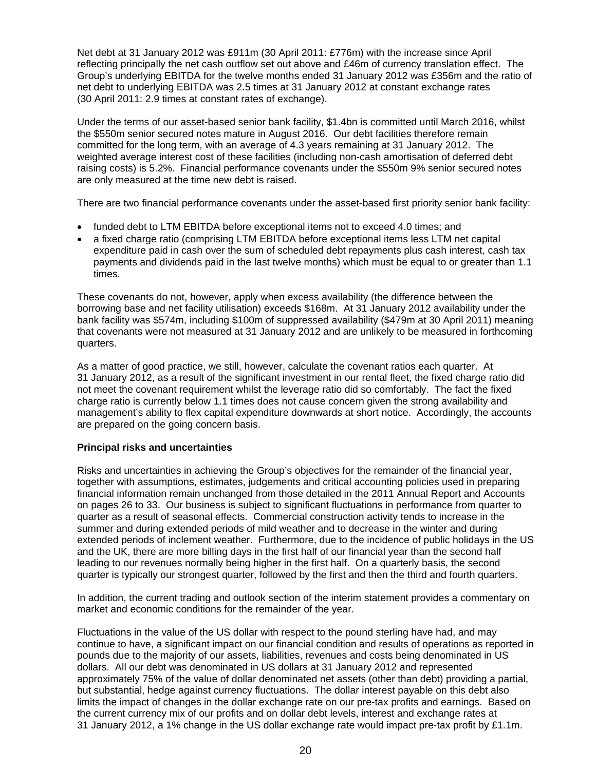Net debt at 31 January 2012 was £911m (30 April 2011: £776m) with the increase since April reflecting principally the net cash outflow set out above and £46m of currency translation effect. The Group's underlying EBITDA for the twelve months ended 31 January 2012 was £356m and the ratio of net debt to underlying EBITDA was 2.5 times at 31 January 2012 at constant exchange rates (30 April 2011: 2.9 times at constant rates of exchange).

Under the terms of our asset-based senior bank facility, \$1.4bn is committed until March 2016, whilst the \$550m senior secured notes mature in August 2016. Our debt facilities therefore remain committed for the long term, with an average of 4.3 years remaining at 31 January 2012. The weighted average interest cost of these facilities (including non-cash amortisation of deferred debt raising costs) is 5.2%. Financial performance covenants under the \$550m 9% senior secured notes are only measured at the time new debt is raised.

There are two financial performance covenants under the asset-based first priority senior bank facility:

- funded debt to LTM EBITDA before exceptional items not to exceed 4.0 times; and
- a fixed charge ratio (comprising LTM EBITDA before exceptional items less LTM net capital expenditure paid in cash over the sum of scheduled debt repayments plus cash interest, cash tax payments and dividends paid in the last twelve months) which must be equal to or greater than 1.1 times.

These covenants do not, however, apply when excess availability (the difference between the borrowing base and net facility utilisation) exceeds \$168m. At 31 January 2012 availability under the bank facility was \$574m, including \$100m of suppressed availability (\$479m at 30 April 2011) meaning that covenants were not measured at 31 January 2012 and are unlikely to be measured in forthcoming quarters.

As a matter of good practice, we still, however, calculate the covenant ratios each quarter. At 31 January 2012, as a result of the significant investment in our rental fleet, the fixed charge ratio did not meet the covenant requirement whilst the leverage ratio did so comfortably. The fact the fixed charge ratio is currently below 1.1 times does not cause concern given the strong availability and management's ability to flex capital expenditure downwards at short notice. Accordingly, the accounts are prepared on the going concern basis.

# **Principal risks and uncertainties**

Risks and uncertainties in achieving the Group's objectives for the remainder of the financial year, together with assumptions, estimates, judgements and critical accounting policies used in preparing financial information remain unchanged from those detailed in the 2011 Annual Report and Accounts on pages 26 to 33. Our business is subject to significant fluctuations in performance from quarter to quarter as a result of seasonal effects. Commercial construction activity tends to increase in the summer and during extended periods of mild weather and to decrease in the winter and during extended periods of inclement weather. Furthermore, due to the incidence of public holidays in the US and the UK, there are more billing days in the first half of our financial year than the second half leading to our revenues normally being higher in the first half. On a quarterly basis, the second quarter is typically our strongest quarter, followed by the first and then the third and fourth quarters.

In addition, the current trading and outlook section of the interim statement provides a commentary on market and economic conditions for the remainder of the year.

Fluctuations in the value of the US dollar with respect to the pound sterling have had, and may continue to have, a significant impact on our financial condition and results of operations as reported in pounds due to the majority of our assets, liabilities, revenues and costs being denominated in US dollars. All our debt was denominated in US dollars at 31 January 2012 and represented approximately 75% of the value of dollar denominated net assets (other than debt) providing a partial, but substantial, hedge against currency fluctuations. The dollar interest payable on this debt also limits the impact of changes in the dollar exchange rate on our pre-tax profits and earnings. Based on the current currency mix of our profits and on dollar debt levels, interest and exchange rates at 31 January 2012, a 1% change in the US dollar exchange rate would impact pre-tax profit by £1.1m.